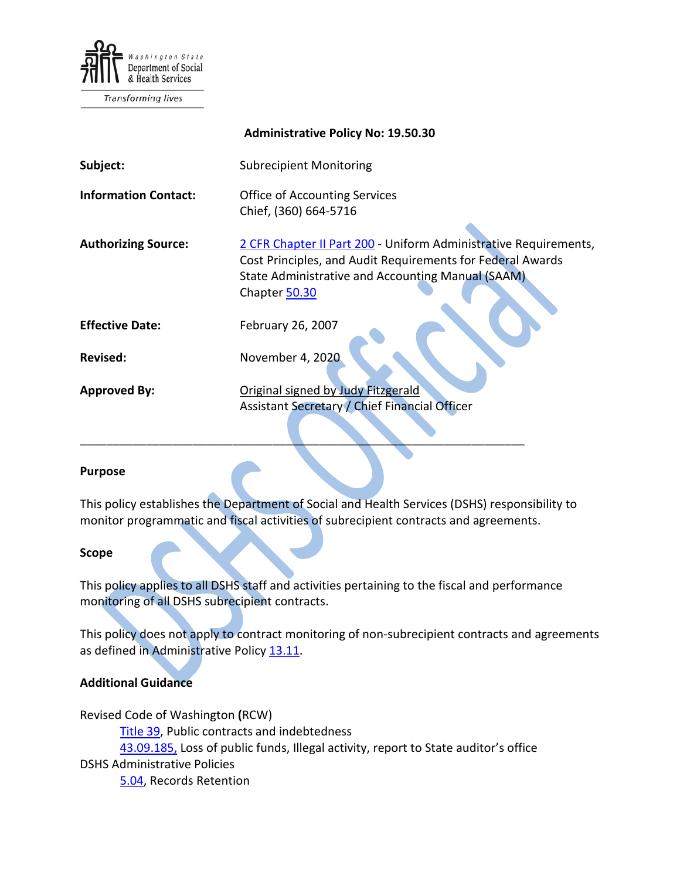

Transforming lives

|                             | <b>Administrative Policy No: 19.50.30</b>                                                                                                                                                            |
|-----------------------------|------------------------------------------------------------------------------------------------------------------------------------------------------------------------------------------------------|
| Subject:                    | <b>Subrecipient Monitoring</b>                                                                                                                                                                       |
| <b>Information Contact:</b> | <b>Office of Accounting Services</b><br>Chief, (360) 664-5716                                                                                                                                        |
| <b>Authorizing Source:</b>  | 2 CFR Chapter II Part 200 - Uniform Administrative Requirements,<br>Cost Principles, and Audit Requirements for Federal Awards<br>State Administrative and Accounting Manual (SAAM)<br>Chapter 50.30 |
| <b>Effective Date:</b>      | February 26, 2007                                                                                                                                                                                    |
| <b>Revised:</b>             | November 4, 2020                                                                                                                                                                                     |
| <b>Approved By:</b>         | Original signed by Judy Fitzgerald<br>Assistant Secretary / Chief Financial Officer                                                                                                                  |

#### **Purpose**

This policy establishes the Department of Social and Health Services (DSHS) responsibility to monitor programmatic and fiscal activities of subrecipient contracts and agreements.

\_\_\_\_\_\_\_\_\_\_\_\_\_\_\_\_\_\_\_\_\_\_\_\_\_\_\_\_\_\_\_\_\_\_\_\_\_\_\_\_\_\_\_\_\_\_\_\_\_\_\_\_\_\_\_\_\_\_\_\_\_\_\_\_\_\_\_

#### **Scope**

This policy applies to all DSHS staff and activities pertaining to the fiscal and performance monitoring of all DSHS subrecipient contracts.

This policy does not apply to contract monitoring of non-subrecipient contracts and agreements as defined in Administrative Policy [13.11.](http://one.dshs.wa.lcl/Policies/Administrative/DSHS-AP-13-11.pdf)

#### **Additional Guidance**

Revised Code of Washington **(**RCW)

[Title 39,](http://apps.leg.wa.gov/rcw/default.aspx?Cite=39) Public contracts and indebtedness

[43.09.185,](http://apps.leg.wa.gov/rcw/default.aspx?cite=43.09.185) Loss of public funds, Illegal activity, report to State auditor's office

DSHS Administrative Policies

[5.04,](http://one.dshs.wa.lcl/Policies/Administrative/DSHS-AP-05-04.pdf) Records Retention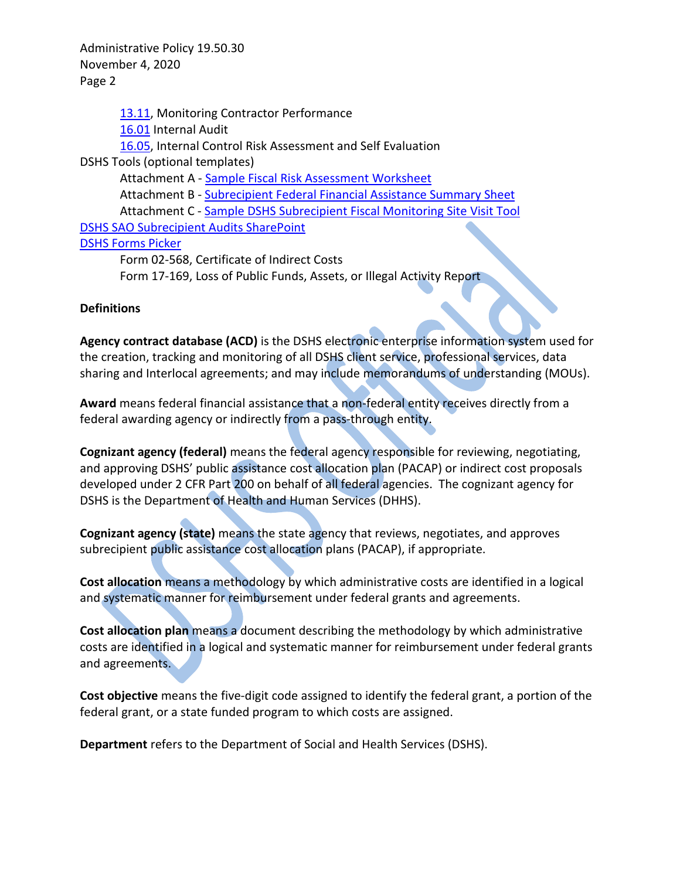[13.11,](http://one.dshs.wa.lcl/Policies/Administrative/DSHS-AP-13-11.pdf) Monitoring Contractor Performance [16.01](http://one.dshs.wa.lcl/Policies/Administrative/DSHS-AP-16-01.pdf) Internal Audit [16.05,](http://one.dshs.wa.lcl/Policies/Administrative/DSHS-AP-16-05.pdf) Internal Control Risk Assessment and Self Evaluation DSHS Tools (optional templates) Attachment A - [Sample Fiscal Risk Assessment Worksheet](http://one.dshs.wa.lcl/Policies/Administrative/DSHS-AP-19-50-30-A.pdf) Attachment B - [Subrecipient](http://one.dshs.wa.lcl/Policies/Administrative/DSHS-AP-19-50-30-B.pdf) Federal Financial Assistance Summary Sheet Attachment C - [Sample DSHS Subrecipient Fiscal Monitoring Site Visit Tool](http://one.dshs.wa.lcl/Policies/Administrative/DSHS-AP-19-50-30-D.pdf) [DSHS SAO Subrecipient Audits SharePoint](http://one.dshs.wa.lcl/FS/Loss/Audits/Pages/SubrecipentAudits.aspx) [DSHS Forms Picker](http://forms.dshs.wa.lcl/) Form 02-568, Certificate of Indirect Costs

Form 17-169, Loss of Public Funds, Assets, or Illegal Activity Report

#### **Definitions**

**Agency contract database (ACD)** is the DSHS electronic enterprise information system used for the creation, tracking and monitoring of all DSHS client service, professional services, data sharing and Interlocal agreements; and may include memorandums of understanding (MOUs).

**Award** means federal financial assistance that a non-federal entity receives directly from a federal awarding agency or indirectly from a pass-through entity.

**Cognizant agency (federal)** means the federal agency responsible for reviewing, negotiating, and approving DSHS' public assistance cost allocation plan (PACAP) or indirect cost proposals developed under 2 CFR Part 200 on behalf of all federal agencies. The cognizant agency for DSHS is the Department of Health and Human Services (DHHS).

**Cognizant agency (state)** means the state agency that reviews, negotiates, and approves subrecipient public assistance cost allocation plans (PACAP), if appropriate.

**Cost allocation** means a methodology by which administrative costs are identified in a logical and systematic manner for reimbursement under federal grants and agreements.

**Cost allocation plan** means a document describing the methodology by which administrative costs are identified in a logical and systematic manner for reimbursement under federal grants and agreements.

**Cost objective** means the five-digit code assigned to identify the federal grant, a portion of the federal grant, or a state funded program to which costs are assigned.

**Department** refers to the Department of Social and Health Services (DSHS).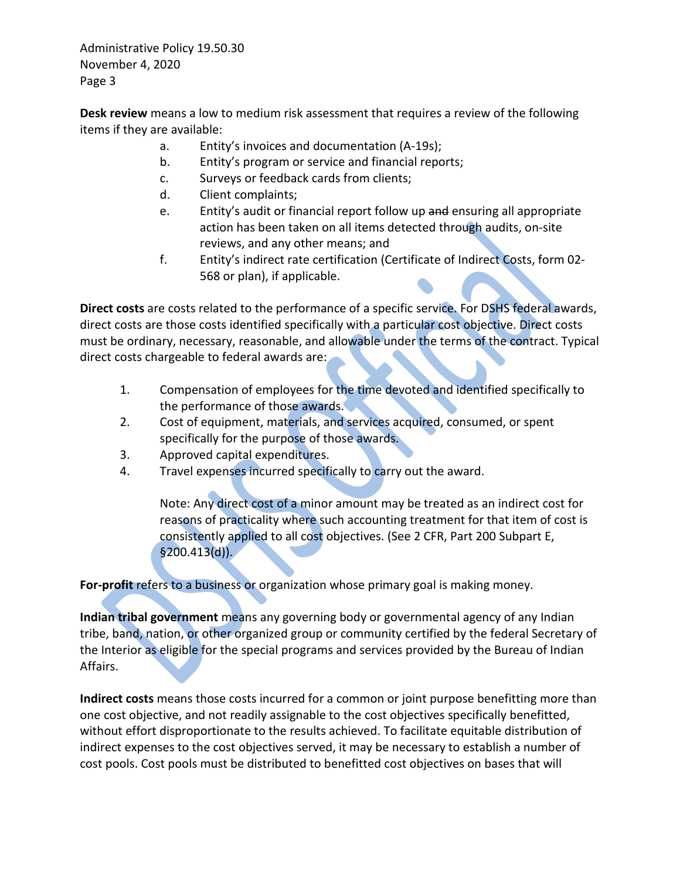**Desk review** means a low to medium risk assessment that requires a review of the following items if they are available:

- a. Entity's invoices and documentation (A-19s);
- b. Entity's program or service and financial reports;
- c. Surveys or feedback cards from clients;
- d. Client complaints;
- e. Entity's audit or financial report follow up and ensuring all appropriate action has been taken on all items detected through audits, on-site reviews, and any other means; and
- f. Entity's indirect rate certification (Certificate of Indirect Costs, form 02- 568 or plan), if applicable.

**Direct costs** are costs related to the performance of a specific service. For DSHS federal awards, direct costs are those costs identified specifically with a particular cost objective. Direct costs must be ordinary, necessary, reasonable, and allowable under the terms of the contract. Typical direct costs chargeable to federal awards are:

- 1. Compensation of employees for the time devoted and identified specifically to the performance of those awards.
- 2. Cost of equipment, materials, and services acquired, consumed, or spent specifically for the purpose of those awards.
- 3. Approved capital expenditures.
- 4. Travel expenses incurred specifically to carry out the award.

Note: Any direct cost of a minor amount may be treated as an indirect cost for reasons of practicality where such accounting treatment for that item of cost is consistently applied to all cost objectives. (See 2 CFR, Part 200 Subpart E, §200.413(d)).

**For-profit** refers to a business or organization whose primary goal is making money.

**Indian tribal government** means any governing body or governmental agency of any Indian tribe, band, nation, or other organized group or community certified by the federal Secretary of the Interior as eligible for the special programs and services provided by the Bureau of Indian Affairs.

**Indirect costs** means those costs incurred for a common or joint purpose benefitting more than one cost objective, and not readily assignable to the cost objectives specifically benefitted, without effort disproportionate to the results achieved. To facilitate equitable distribution of indirect expenses to the cost objectives served, it may be necessary to establish a number of cost pools. Cost pools must be distributed to benefitted cost objectives on bases that will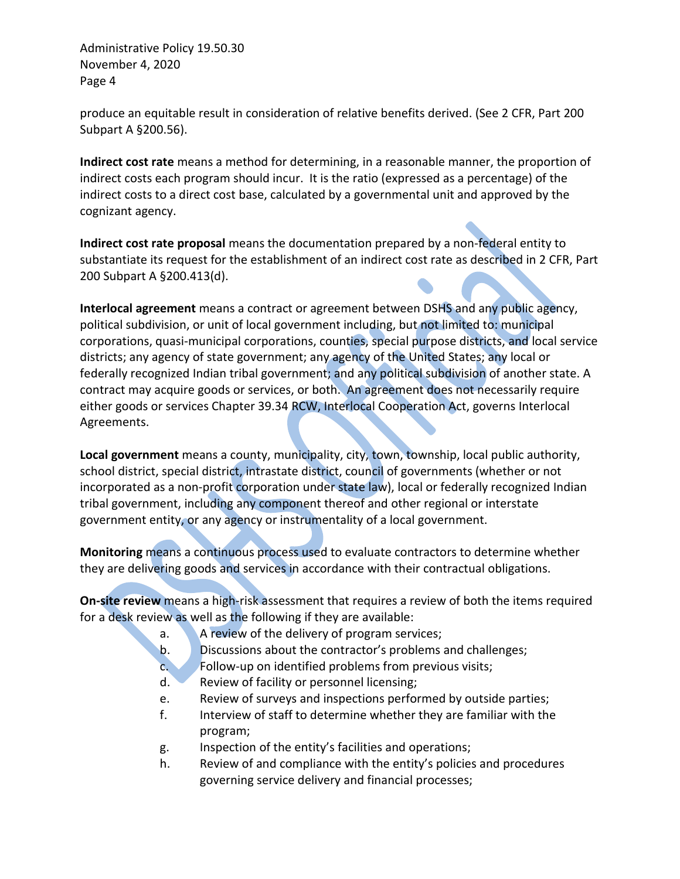produce an equitable result in consideration of relative benefits derived. (See 2 CFR, Part 200 Subpart A §200.56).

**Indirect cost rate** means a method for determining, in a reasonable manner, the proportion of indirect costs each program should incur. It is the ratio (expressed as a percentage) of the indirect costs to a direct cost base, calculated by a governmental unit and approved by the cognizant agency.

**Indirect cost rate proposal** means the documentation prepared by a non-federal entity to substantiate its request for the establishment of an indirect cost rate as described in 2 CFR, Part 200 Subpart A §200.413(d).

**Interlocal agreement** means a contract or agreement between DSHS and any public agency, political subdivision, or unit of local government including, but not limited to: municipal corporations, quasi-municipal corporations, counties, special purpose districts, and local service districts; any agency of state government; any agency of the United States; any local or federally recognized Indian tribal government; and any political subdivision of another state. A contract may acquire goods or services, or both. An agreement does not necessarily require either goods or services Chapter 39.34 RCW, Interlocal Cooperation Act, governs Interlocal Agreements.

**Local government** means a county, municipality, city, town, township, local public authority, school district, special district, intrastate district, council of governments (whether or not incorporated as a non-profit corporation under state law), local or federally recognized Indian tribal government, including any component thereof and other regional or interstate government entity, or any agency or instrumentality of a local government.

**Monitoring** means a continuous process used to evaluate contractors to determine whether they are delivering goods and services in accordance with their contractual obligations.

**On-site review** means a high-risk assessment that requires a review of both the items required for a desk review as well as the following if they are available:

- a. A review of the delivery of program services;
- b. Discussions about the contractor's problems and challenges;
- c. Follow-up on identified problems from previous visits;
- d. Review of facility or personnel licensing;
- e. Review of surveys and inspections performed by outside parties;
- f. Interview of staff to determine whether they are familiar with the program;
- g. Inspection of the entity's facilities and operations;
- h. Review of and compliance with the entity's policies and procedures governing service delivery and financial processes;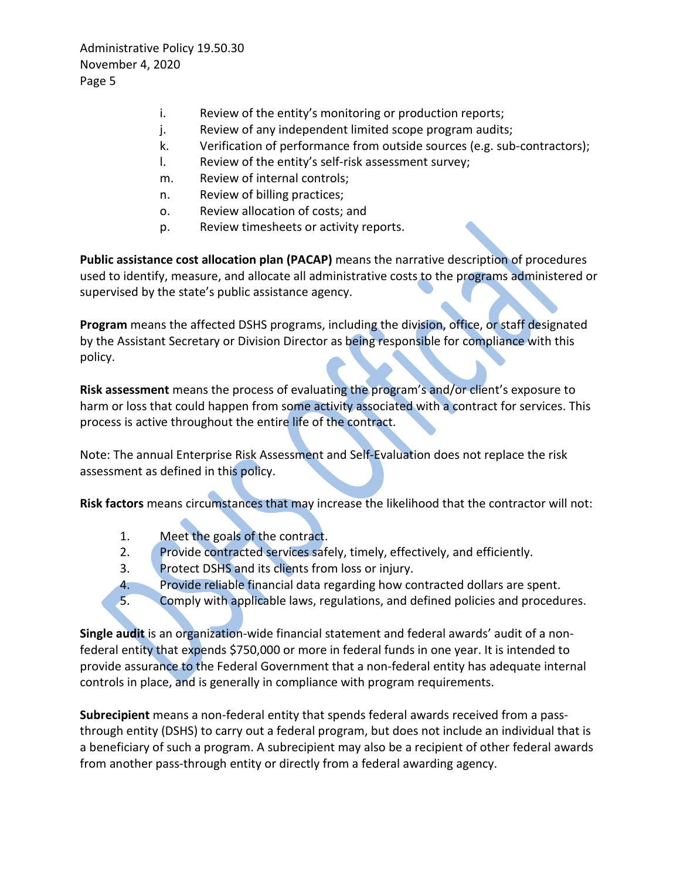- i. Review of the entity's monitoring or production reports;
- j. Review of any independent limited scope program audits;
- k. Verification of performance from outside sources (e.g. sub-contractors);
- l. Review of the entity's self-risk assessment survey;
- m. Review of internal controls;
- n. Review of billing practices;
- o. Review allocation of costs; and
- p. Review timesheets or activity reports.

**Public assistance cost allocation plan (PACAP)** means the narrative description of procedures used to identify, measure, and allocate all administrative costs to the programs administered or supervised by the state's public assistance agency.

**Program** means the affected DSHS programs, including the division, office, or staff designated by the Assistant Secretary or Division Director as being responsible for compliance with this policy.

**Risk assessment** means the process of evaluating the program's and/or client's exposure to harm or loss that could happen from some activity associated with a contract for services. This process is active throughout the entire life of the contract.

Note: The annual Enterprise Risk Assessment and Self-Evaluation does not replace the risk assessment as defined in this policy.

**Risk factors** means circumstances that may increase the likelihood that the contractor will not:

- 1. Meet the goals of the contract.
- 2. Provide contracted services safely, timely, effectively, and efficiently.
- 3. Protect DSHS and its clients from loss or injury.
- 4. Provide reliable financial data regarding how contracted dollars are spent.
- 5. Comply with applicable laws, regulations, and defined policies and procedures.

**Single audit** is an organization-wide financial statement and federal awards' audit of a nonfederal entity that expends \$750,000 or more in federal funds in one year. It is intended to provide assurance to the Federal Government that a non-federal entity has adequate internal controls in place, and is generally in compliance with program requirements.

**Subrecipient** means a non-federal entity that spends federal awards received from a passthrough entity (DSHS) to carry out a federal program, but does not include an individual that is a beneficiary of such a program. A subrecipient may also be a recipient of other federal awards from another pass-through entity or directly from a federal awarding agency.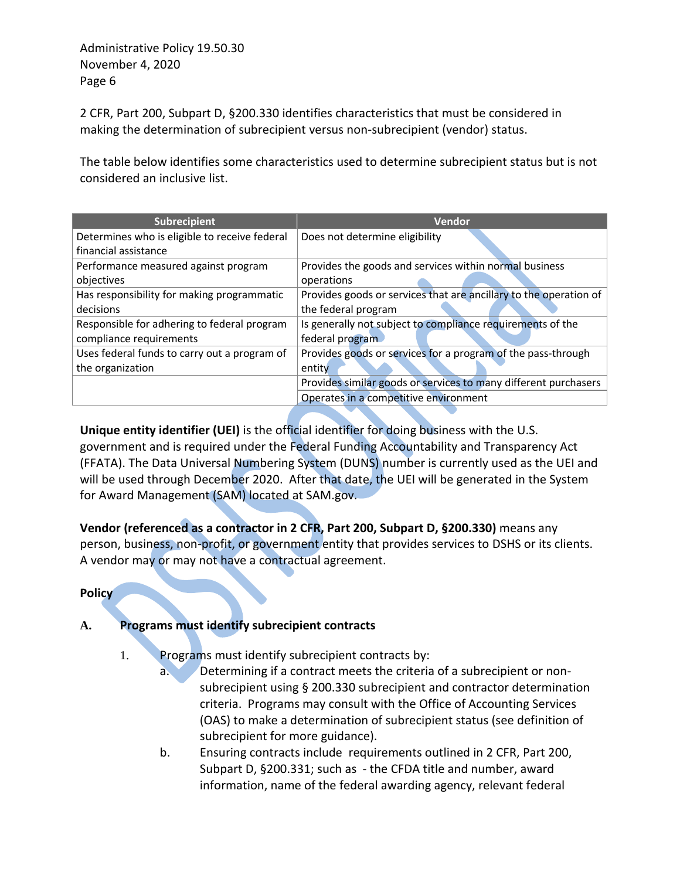2 CFR, Part 200, Subpart D, §200.330 identifies characteristics that must be considered in making the determination of subrecipient versus non-subrecipient (vendor) status.

The table below identifies some characteristics used to determine subrecipient status but is not considered an inclusive list.

| <b>Subrecipient</b>                           | Vendor                                                            |
|-----------------------------------------------|-------------------------------------------------------------------|
| Determines who is eligible to receive federal | Does not determine eligibility                                    |
| financial assistance                          |                                                                   |
| Performance measured against program          | Provides the goods and services within normal business            |
| objectives                                    | operations                                                        |
| Has responsibility for making programmatic    | Provides goods or services that are ancillary to the operation of |
| decisions                                     | the federal program                                               |
| Responsible for adhering to federal program   | Is generally not subject to compliance requirements of the        |
| compliance requirements                       | federal program                                                   |
| Uses federal funds to carry out a program of  | Provides goods or services for a program of the pass-through      |
| the organization                              | entity                                                            |
|                                               | Provides similar goods or services to many different purchasers   |
|                                               | Operates in a competitive environment                             |
|                                               |                                                                   |

**Unique entity identifier (UEI)** is the official identifier for doing business with the U.S. government and is required under the Federal Funding Accountability and Transparency Act (FFATA). The Data Universal Numbering System (DUNS) number is currently used as the UEI and will be used through December 2020. After that date, the UEI will be generated in the System for Award Management (SAM) located at SAM.gov.

**Vendor (referenced as a contractor in 2 CFR, Part 200, Subpart D, §200.330)** means any person, business, non-profit, or government entity that provides services to DSHS or its clients. A vendor may or may not have a contractual agreement.

#### **Policy**

## **A. Programs must identify subrecipient contracts**

1. Programs must identify subrecipient contracts by:

- a. Determining if a contract meets the criteria of a subrecipient or nonsubrecipient using § 200.330 subrecipient and contractor determination criteria. Programs may consult with the Office of Accounting Services (OAS) to make a determination of subrecipient status (see definition of subrecipient for more guidance).
- b. Ensuring contracts include requirements outlined in 2 CFR, Part 200, Subpart D, §200.331; such as - the CFDA title and number, award information, name of the federal awarding agency, relevant federal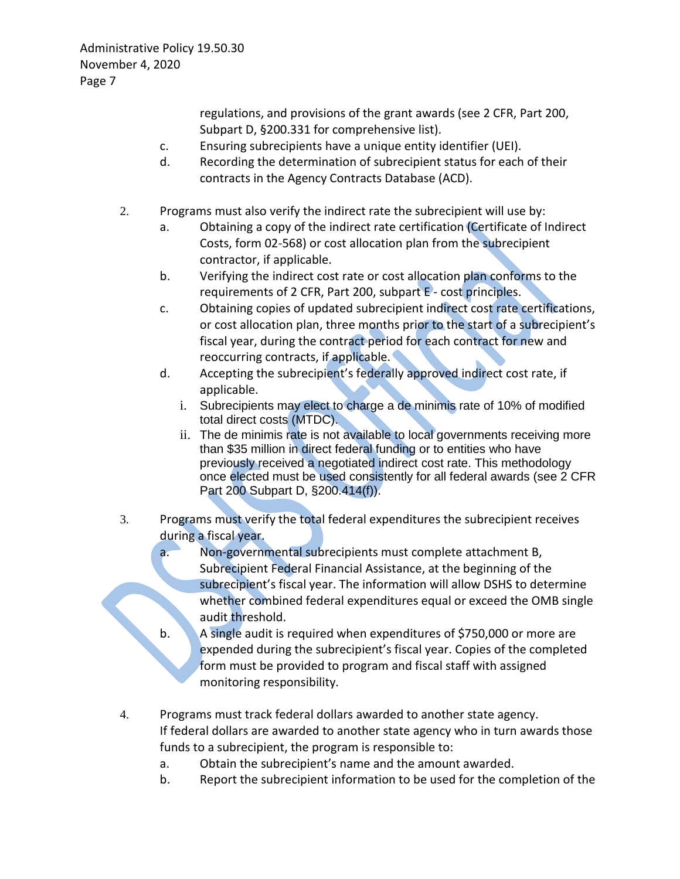regulations, and provisions of the grant awards (see 2 CFR, Part 200, Subpart D, §200.331 for comprehensive list).

- c. Ensuring subrecipients have a unique entity identifier (UEI).
- d. Recording the determination of subrecipient status for each of their contracts in the Agency Contracts Database (ACD).
- 2. Programs must also verify the indirect rate the subrecipient will use by:
	- a. Obtaining a copy of the indirect rate certification (Certificate of Indirect Costs, form 02-568) or cost allocation plan from the subrecipient contractor, if applicable.
	- b. Verifying the indirect cost rate or cost allocation plan conforms to the requirements of 2 CFR, Part 200, subpart E - cost principles.
	- c. Obtaining copies of updated subrecipient indirect cost rate certifications, or cost allocation plan, three months prior to the start of a subrecipient's fiscal year, during the contract period for each contract for new and reoccurring contracts, if applicable.
	- d. Accepting the subrecipient's federally approved indirect cost rate, if applicable.
		- i. Subrecipients may elect to charge a de minimis rate of 10% of modified total direct costs (MTDC).
		- ii. The de minimis rate is not available to local governments receiving more than \$35 million in direct federal funding or to entities who have previously received a negotiated indirect cost rate. This methodology once elected must be used consistently for all federal awards (see 2 CFR Part 200 Subpart D, §200.414(f)).
- 3. Programs must verify the total federal expenditures the subrecipient receives during a fiscal year.
	- a. Non-governmental subrecipients must complete attachment B, Subrecipient Federal Financial Assistance, at the beginning of the subrecipient's fiscal year. The information will allow DSHS to determine whether combined federal expenditures equal or exceed the OMB single audit threshold.
	- b. A single audit is required when expenditures of \$750,000 or more are expended during the subrecipient's fiscal year. Copies of the completed form must be provided to program and fiscal staff with assigned monitoring responsibility.
- 4. Programs must track federal dollars awarded to another state agency. If federal dollars are awarded to another state agency who in turn awards those funds to a subrecipient, the program is responsible to:
	- a. Obtain the subrecipient's name and the amount awarded.
	- b. Report the subrecipient information to be used for the completion of the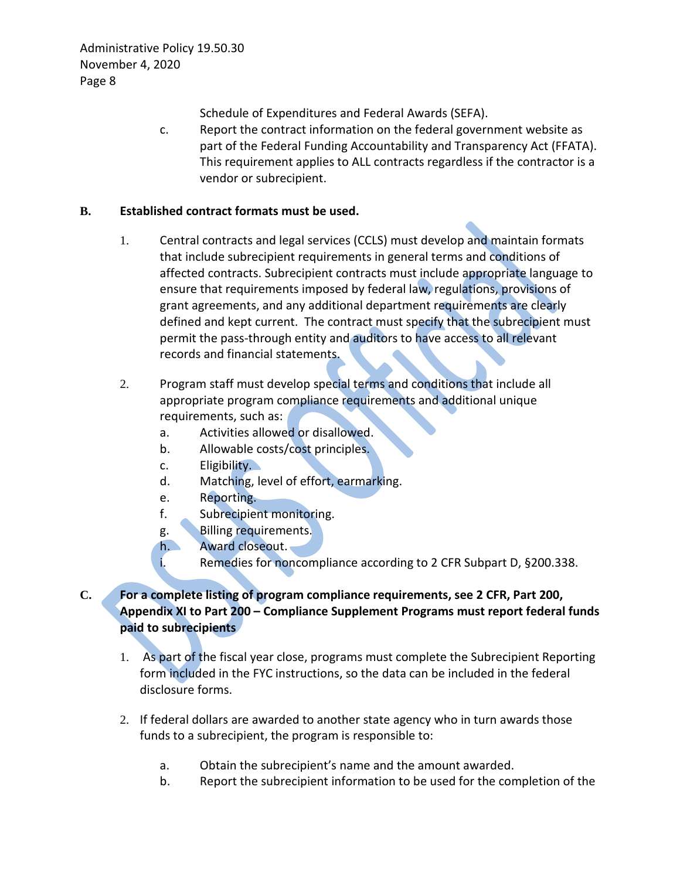Schedule of Expenditures and Federal Awards (SEFA).

c. Report the contract information on the federal government website as part of the Federal Funding Accountability and Transparency Act (FFATA). This requirement applies to ALL contracts regardless if the contractor is a vendor or subrecipient.

## **B. Established contract formats must be used.**

- 1. Central contracts and legal services (CCLS) must develop and maintain formats that include subrecipient requirements in general terms and conditions of affected contracts. Subrecipient contracts must include appropriate language to ensure that requirements imposed by federal law, regulations, provisions of grant agreements, and any additional department requirements are clearly defined and kept current. The contract must specify that the subrecipient must permit the pass-through entity and auditors to have access to all relevant records and financial statements.
- 2. Program staff must develop special terms and conditions that include all appropriate program compliance requirements and additional unique requirements, such as:
	- a. Activities allowed or disallowed.
	- b. Allowable costs/cost principles.
	- c. Eligibility.
	- d. Matching, level of effort, earmarking.
	- e. Reporting.
	- f. Subrecipient monitoring.
	- g. Billing requirements.
	- h. Award closeout.
	- i. Remedies for noncompliance according to 2 CFR Subpart D, §200.338.

# **C. For a complete listing of program compliance requirements, see 2 CFR, Part 200, Appendix XI to Part 200 – Compliance Supplement Programs must report federal funds paid to subrecipients**

- 1. As part of the fiscal year close, programs must complete the Subrecipient Reporting form included in the FYC instructions, so the data can be included in the federal disclosure forms.
- 2. If federal dollars are awarded to another state agency who in turn awards those funds to a subrecipient, the program is responsible to:
	- a. Obtain the subrecipient's name and the amount awarded.
	- b. Report the subrecipient information to be used for the completion of the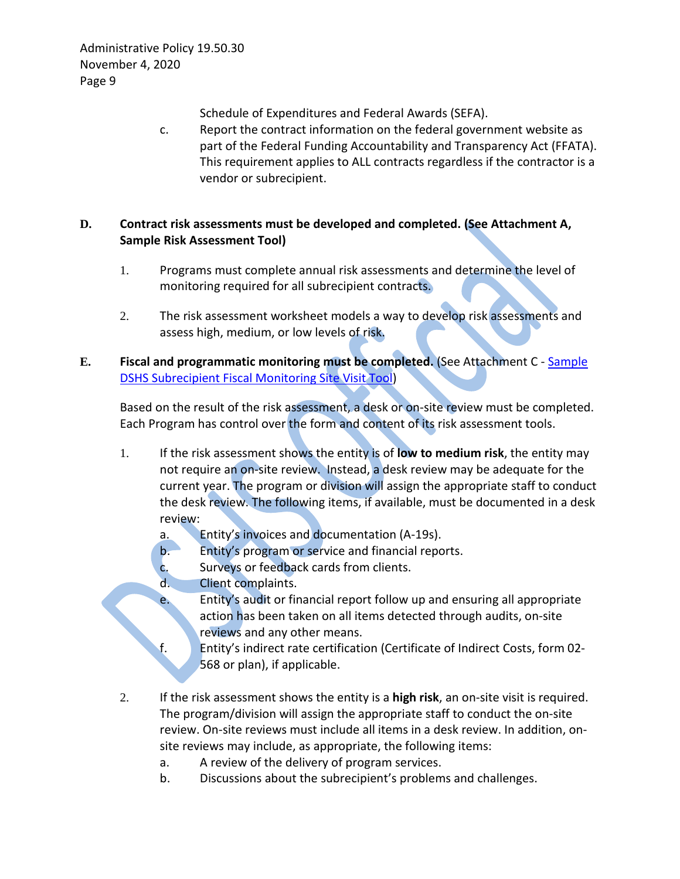Schedule of Expenditures and Federal Awards (SEFA).

c. Report the contract information on the federal government website as part of the Federal Funding Accountability and Transparency Act (FFATA). This requirement applies to ALL contracts regardless if the contractor is a vendor or subrecipient.

## **D. Contract risk assessments must be developed and completed. (See Attachment A, Sample Risk Assessment Tool)**

- 1. Programs must complete annual risk assessments and determine the level of monitoring required for all subrecipient contracts.
- 2. The risk assessment worksheet models a way to develop risk assessments and assess high, medium, or low levels of risk.
- **E. Fiscal and programmatic monitoring must be completed.** (See Attachment C [Sample](http://one.dshs.wa.lcl/Policies/Administrative/DSHS-AP-19-50-30-D.pdf)  [DSHS Subrecipient Fiscal Monitoring Site Visit Tool\)](http://one.dshs.wa.lcl/Policies/Administrative/DSHS-AP-19-50-30-D.pdf)

Based on the result of the risk assessment, a desk or on-site review must be completed. Each Program has control over the form and content of its risk assessment tools.

- 1. If the risk assessment shows the entity is of **low to medium risk**, the entity may not require an on-site review. Instead, a desk review may be adequate for the current year. The program or division will assign the appropriate staff to conduct the desk review. The following items, if available, must be documented in a desk review:
	- a. Entity's invoices and documentation (A-19s).
	- b. Entity's program or service and financial reports.
	- c. Surveys or feedback cards from clients.
	- d. Client complaints.
	- e. Entity's audit or financial report follow up and ensuring all appropriate action has been taken on all items detected through audits, on-site reviews and any other means.
	- f. Entity's indirect rate certification (Certificate of Indirect Costs, form 02- 568 or plan), if applicable.
- 2. If the risk assessment shows the entity is a **high risk**, an on-site visit is required. The program/division will assign the appropriate staff to conduct the on-site review. On-site reviews must include all items in a desk review. In addition, onsite reviews may include, as appropriate, the following items:
	- a. A review of the delivery of program services.
	- b. Discussions about the subrecipient's problems and challenges.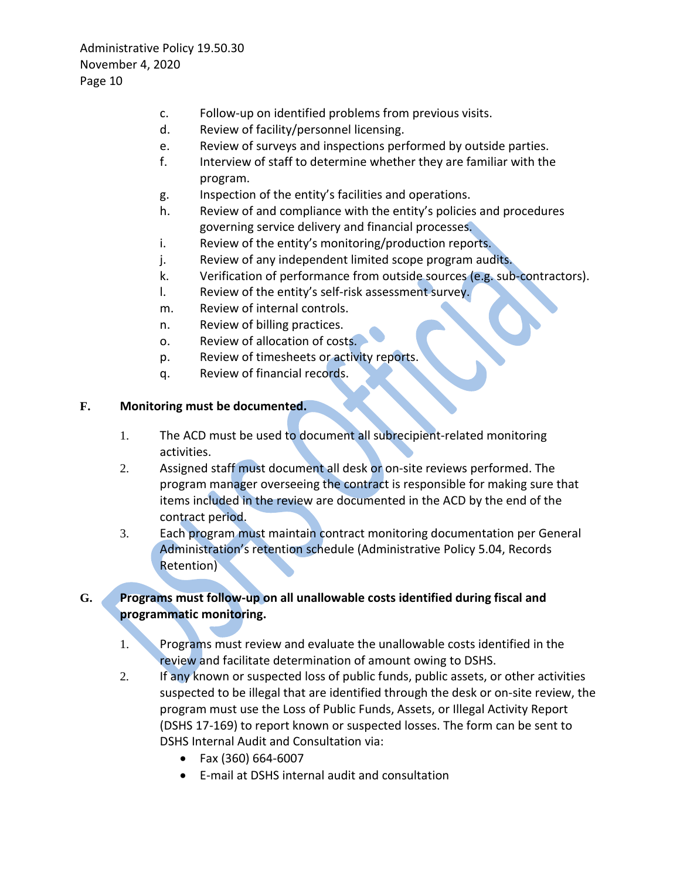- c. Follow-up on identified problems from previous visits.
- d. Review of facility/personnel licensing.
- e. Review of surveys and inspections performed by outside parties.
- f. Interview of staff to determine whether they are familiar with the program.
- g. Inspection of the entity's facilities and operations.
- h. Review of and compliance with the entity's policies and procedures governing service delivery and financial processes.
- i. Review of the entity's monitoring/production reports.
- j. Review of any independent limited scope program audits.
- k. Verification of performance from outside sources (e.g. sub-contractors).
- l. Review of the entity's self-risk assessment survey.
- m. Review of internal controls.
- n. Review of billing practices.
- o. Review of allocation of costs.
- p. Review of timesheets or activity reports.
- q. Review of financial records.

#### **F. Monitoring must be documented.**

- 1. The ACD must be used to document all subrecipient-related monitoring activities.
- 2. Assigned staff must document all desk or on-site reviews performed. The program manager overseeing the contract is responsible for making sure that items included in the review are documented in the ACD by the end of the contract period.
- 3. Each program must maintain contract monitoring documentation per General Administration's retention schedule (Administrative Policy 5.04, Records Retention)

## **G. Programs must follow-up on all unallowable costs identified during fiscal and programmatic monitoring.**

- 1. Programs must review and evaluate the unallowable costs identified in the review and facilitate determination of amount owing to DSHS.
- 2. If any known or suspected loss of public funds, public assets, or other activities suspected to be illegal that are identified through the desk or on-site review, the program must use the Loss of Public Funds, Assets, or Illegal Activity Report (DSHS 17-169) to report known or suspected losses. The form can be sent to DSHS Internal Audit and Consultation via:
	- Fax (360) 664-6007
	- E-mail at DSHS internal audit and consultation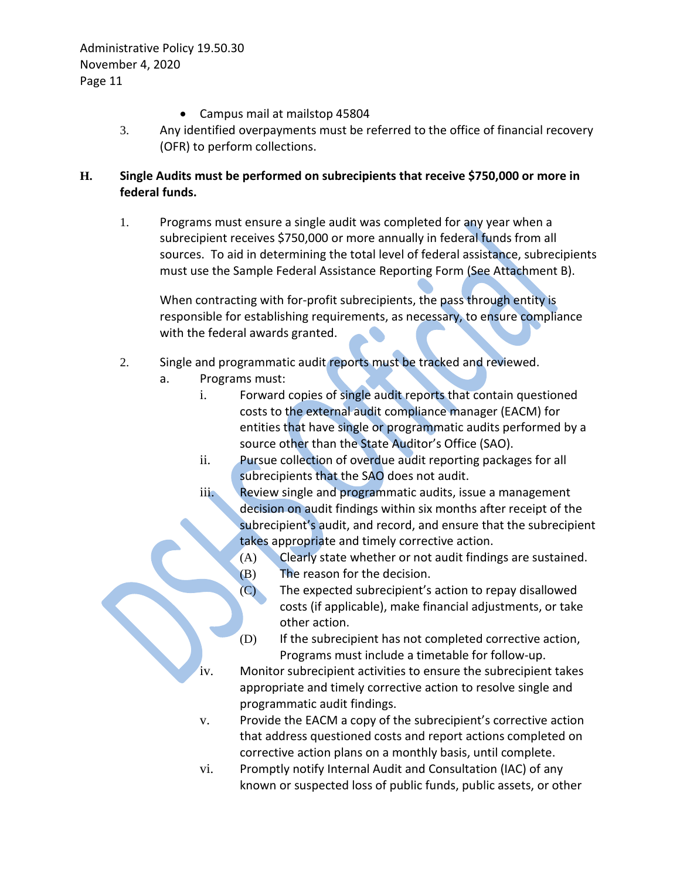- Campus mail at mailstop 45804
- 3. Any identified overpayments must be referred to the office of financial recovery (OFR) to perform collections.

## **H. Single Audits must be performed on subrecipients that receive \$750,000 or more in federal funds.**

1. Programs must ensure a single audit was completed for any year when a subrecipient receives \$750,000 or more annually in federal funds from all sources. To aid in determining the total level of federal assistance, subrecipients must use the Sample Federal Assistance Reporting Form (See Attachment B).

When contracting with for-profit subrecipients, the pass through entity is responsible for establishing requirements, as necessary, to ensure compliance with the federal awards granted.

- 2. Single and programmatic audit reports must be tracked and reviewed.
	- a. Programs must:
		- i. Forward copies of single audit reports that contain questioned costs to the external audit compliance manager (EACM) for entities that have single or programmatic audits performed by a source other than the State Auditor's Office (SAO).
		- ii. Pursue collection of overdue audit reporting packages for all subrecipients that the SAO does not audit.
		- iii. Review single and programmatic audits, issue a management decision on audit findings within six months after receipt of the subrecipient's audit, and record, and ensure that the subrecipient takes appropriate and timely corrective action.
			- (A) Clearly state whether or not audit findings are sustained.
			-
			- (B) The reason for the decision.<br>(C) The expected subrecipient's The expected subrecipient's action to repay disallowed costs (if applicable), make financial adjustments, or take other action.
			- (D) If the subrecipient has not completed corrective action, Programs must include a timetable for follow-up.
		- iv. Monitor subrecipient activities to ensure the subrecipient takes appropriate and timely corrective action to resolve single and programmatic audit findings.
		- v. Provide the EACM a copy of the subrecipient's corrective action that address questioned costs and report actions completed on corrective action plans on a monthly basis, until complete.
		- vi. Promptly notify Internal Audit and Consultation (IAC) of any known or suspected loss of public funds, public assets, or other